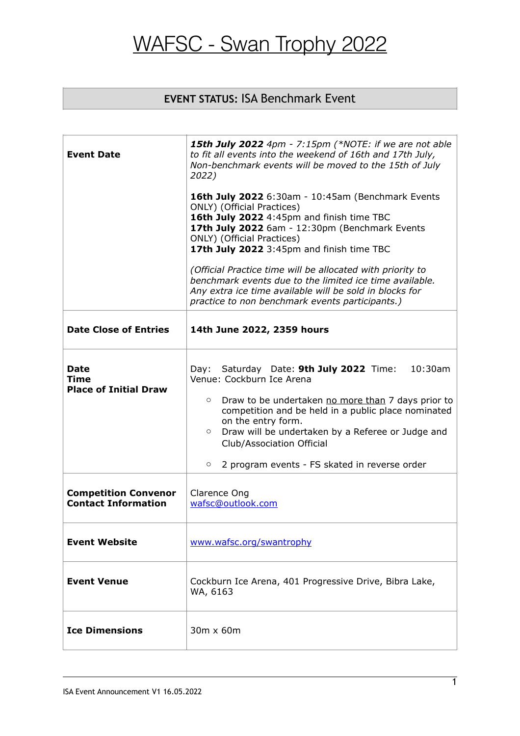### **EVENT STATUS:** ISA Benchmark Event

| <b>Event Date</b>                                         | <b>15th July 2022</b> 4pm - 7:15pm (*NOTE: if we are not able<br>to fit all events into the weekend of 16th and 17th July,<br>Non-benchmark events will be moved to the 15th of July<br>2022)<br><b>16th July 2022</b> 6:30am - 10:45am (Benchmark Events<br>ONLY) (Official Practices)<br>16th July 2022 4:45pm and finish time TBC<br>17th July 2022 6am - 12:30pm (Benchmark Events<br>ONLY) (Official Practices)<br>17th July 2022 3:45pm and finish time TBC<br>(Official Practice time will be allocated with priority to<br>benchmark events due to the limited ice time available.<br>Any extra ice time available will be sold in blocks for<br>practice to non benchmark events participants.) |  |  |
|-----------------------------------------------------------|----------------------------------------------------------------------------------------------------------------------------------------------------------------------------------------------------------------------------------------------------------------------------------------------------------------------------------------------------------------------------------------------------------------------------------------------------------------------------------------------------------------------------------------------------------------------------------------------------------------------------------------------------------------------------------------------------------|--|--|
| <b>Date Close of Entries</b>                              | 14th June 2022, 2359 hours                                                                                                                                                                                                                                                                                                                                                                                                                                                                                                                                                                                                                                                                               |  |  |
| <b>Date</b><br>Time<br><b>Place of Initial Draw</b>       | Day: Saturday Date: 9th July 2022 Time:<br>$10:30$ am<br>Venue: Cockburn Ice Arena<br>Draw to be undertaken no more than 7 days prior to<br>$\circ$<br>competition and be held in a public place nominated<br>on the entry form.<br>Draw will be undertaken by a Referee or Judge and<br>$\circ$<br>Club/Association Official<br>2 program events - FS skated in reverse order<br>$\circ$                                                                                                                                                                                                                                                                                                                |  |  |
| <b>Competition Convenor</b><br><b>Contact Information</b> | Clarence Ong<br>wafsc@outlook.com                                                                                                                                                                                                                                                                                                                                                                                                                                                                                                                                                                                                                                                                        |  |  |
| <b>Event Website</b>                                      | www.wafsc.org/swantrophy                                                                                                                                                                                                                                                                                                                                                                                                                                                                                                                                                                                                                                                                                 |  |  |
| <b>Event Venue</b>                                        | Cockburn Ice Arena, 401 Progressive Drive, Bibra Lake,<br>WA, 6163                                                                                                                                                                                                                                                                                                                                                                                                                                                                                                                                                                                                                                       |  |  |
| <b>Ice Dimensions</b>                                     | 30m x 60m                                                                                                                                                                                                                                                                                                                                                                                                                                                                                                                                                                                                                                                                                                |  |  |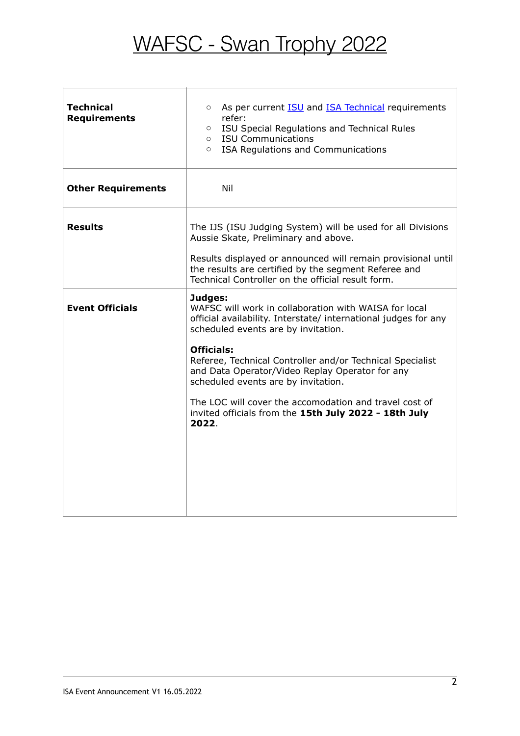| <b>Technical</b><br><b>Requirements</b> | As per current <b>ISU</b> and <b>ISA Technical</b> requirements<br>$\circ$<br>refer:<br>ISU Special Regulations and Technical Rules<br>$\circ$<br><b>ISU Communications</b><br>$\circ$<br>ISA Regulations and Communications<br>$\circ$ |  |  |
|-----------------------------------------|-----------------------------------------------------------------------------------------------------------------------------------------------------------------------------------------------------------------------------------------|--|--|
| <b>Other Requirements</b>               | Nil                                                                                                                                                                                                                                     |  |  |
| <b>Results</b>                          | The IJS (ISU Judging System) will be used for all Divisions<br>Aussie Skate, Preliminary and above.<br>Results displayed or announced will remain provisional until                                                                     |  |  |
|                                         | the results are certified by the segment Referee and<br>Technical Controller on the official result form.                                                                                                                               |  |  |
| <b>Event Officials</b>                  | Judges:<br>WAFSC will work in collaboration with WAISA for local<br>official availability. Interstate/ international judges for any<br>scheduled events are by invitation.                                                              |  |  |
|                                         | <b>Officials:</b><br>Referee, Technical Controller and/or Technical Specialist<br>and Data Operator/Video Replay Operator for any<br>scheduled events are by invitation.                                                                |  |  |
|                                         | The LOC will cover the accomodation and travel cost of<br>invited officials from the 15th July 2022 - 18th July<br>2022.                                                                                                                |  |  |
|                                         |                                                                                                                                                                                                                                         |  |  |
|                                         |                                                                                                                                                                                                                                         |  |  |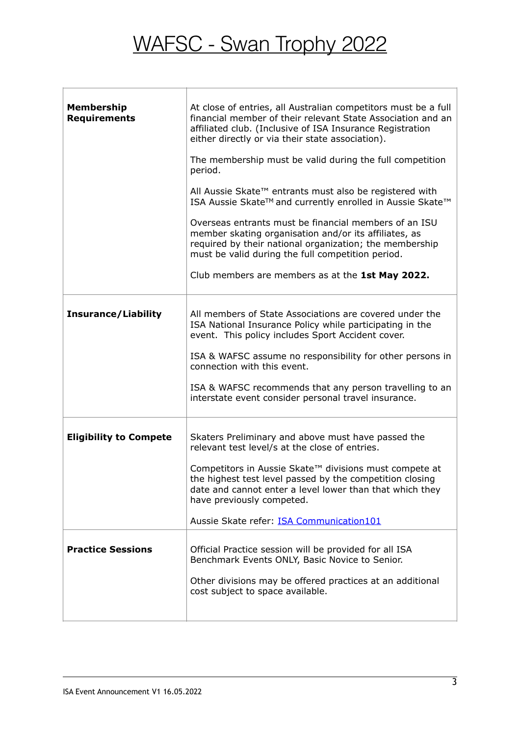T

| <b>Membership</b><br><b>Requirements</b> | At close of entries, all Australian competitors must be a full<br>financial member of their relevant State Association and an<br>affiliated club. (Inclusive of ISA Insurance Registration<br>either directly or via their state association).<br>The membership must be valid during the full competition<br>period.<br>All Aussie Skate™ entrants must also be registered with<br>ISA Aussie Skate™ and currently enrolled in Aussie Skate™<br>Overseas entrants must be financial members of an ISU<br>member skating organisation and/or its affiliates, as<br>required by their national organization; the membership<br>must be valid during the full competition period.<br>Club members are members as at the 1st May 2022. |  |
|------------------------------------------|-------------------------------------------------------------------------------------------------------------------------------------------------------------------------------------------------------------------------------------------------------------------------------------------------------------------------------------------------------------------------------------------------------------------------------------------------------------------------------------------------------------------------------------------------------------------------------------------------------------------------------------------------------------------------------------------------------------------------------------|--|
| <b>Insurance/Liability</b>               | All members of State Associations are covered under the<br>ISA National Insurance Policy while participating in the<br>event. This policy includes Sport Accident cover.<br>ISA & WAFSC assume no responsibility for other persons in<br>connection with this event.<br>ISA & WAFSC recommends that any person travelling to an<br>interstate event consider personal travel insurance.                                                                                                                                                                                                                                                                                                                                             |  |
| <b>Eligibility to Compete</b>            | Skaters Preliminary and above must have passed the<br>relevant test level/s at the close of entries.<br>Competitors in Aussie Skate™ divisions must compete at<br>the highest test level passed by the competition closing<br>date and cannot enter a level lower than that which they<br>have previously competed.<br>Aussie Skate refer: ISA Communication101                                                                                                                                                                                                                                                                                                                                                                     |  |
| <b>Practice Sessions</b>                 | Official Practice session will be provided for all ISA<br>Benchmark Events ONLY, Basic Novice to Senior.<br>Other divisions may be offered practices at an additional<br>cost subject to space available.                                                                                                                                                                                                                                                                                                                                                                                                                                                                                                                           |  |

f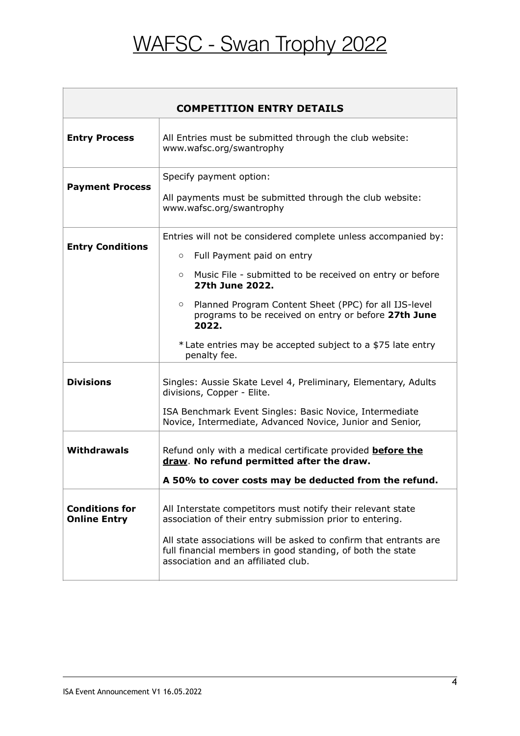| <b>COMPETITION ENTRY DETAILS</b>             |                                                                                                                                                                                                                                                                                                   |  |  |  |
|----------------------------------------------|---------------------------------------------------------------------------------------------------------------------------------------------------------------------------------------------------------------------------------------------------------------------------------------------------|--|--|--|
| <b>Entry Process</b>                         | All Entries must be submitted through the club website:<br>www.wafsc.org/swantrophy                                                                                                                                                                                                               |  |  |  |
| <b>Payment Process</b>                       | Specify payment option:<br>All payments must be submitted through the club website:<br>www.wafsc.org/swantrophy                                                                                                                                                                                   |  |  |  |
| <b>Entry Conditions</b>                      | Entries will not be considered complete unless accompanied by:<br>Full Payment paid on entry<br>$\circ$<br>Music File - submitted to be received on entry or before<br>$\circ$<br>27th June 2022.                                                                                                 |  |  |  |
|                                              | Planned Program Content Sheet (PPC) for all IJS-level<br>$\circ$<br>programs to be received on entry or before 27th June<br>2022.<br>* Late entries may be accepted subject to a \$75 late entry<br>penalty fee.                                                                                  |  |  |  |
| <b>Divisions</b>                             | Singles: Aussie Skate Level 4, Preliminary, Elementary, Adults<br>divisions, Copper - Elite.<br>ISA Benchmark Event Singles: Basic Novice, Intermediate<br>Novice, Intermediate, Advanced Novice, Junior and Senior,                                                                              |  |  |  |
| <b>Withdrawals</b>                           | Refund only with a medical certificate provided <b>before the</b><br>draw. No refund permitted after the draw.<br>A 50% to cover costs may be deducted from the refund.                                                                                                                           |  |  |  |
| <b>Conditions for</b><br><b>Online Entry</b> | All Interstate competitors must notify their relevant state<br>association of their entry submission prior to entering.<br>All state associations will be asked to confirm that entrants are<br>full financial members in good standing, of both the state<br>association and an affiliated club. |  |  |  |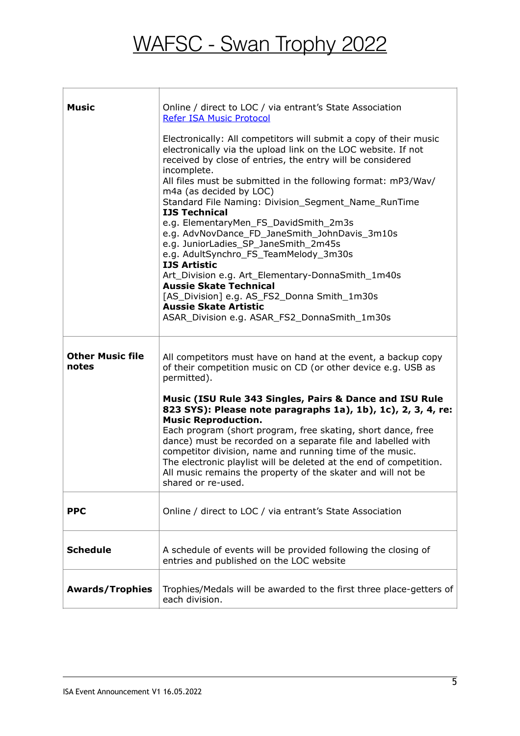| <b>Music</b>                     | Online / direct to LOC / via entrant's State Association<br><b>Refer ISA Music Protocol</b>                                                                                                                                                                                                                                                                                                                                                                                                                                                                                                                                                                                                                                                                                                                       |
|----------------------------------|-------------------------------------------------------------------------------------------------------------------------------------------------------------------------------------------------------------------------------------------------------------------------------------------------------------------------------------------------------------------------------------------------------------------------------------------------------------------------------------------------------------------------------------------------------------------------------------------------------------------------------------------------------------------------------------------------------------------------------------------------------------------------------------------------------------------|
|                                  | Electronically: All competitors will submit a copy of their music<br>electronically via the upload link on the LOC website. If not<br>received by close of entries, the entry will be considered<br>incomplete.<br>All files must be submitted in the following format: mP3/Wav/<br>m4a (as decided by LOC)<br>Standard File Naming: Division_Segment_Name_RunTime<br><b>IJS Technical</b><br>e.g. ElementaryMen_FS_DavidSmith_2m3s<br>e.g. AdvNovDance_FD_JaneSmith_JohnDavis_3m10s<br>e.g. JuniorLadies_SP_JaneSmith_2m45s<br>e.g. AdultSynchro_FS_TeamMelody_3m30s<br><b>IJS Artistic</b><br>Art_Division e.g. Art_Elementary-DonnaSmith_1m40s<br><b>Aussie Skate Technical</b><br>[AS_Division] e.g. AS_FS2_Donna Smith_1m30s<br><b>Aussie Skate Artistic</b><br>ASAR_Division e.g. ASAR_FS2_DonnaSmith_1m30s |
| <b>Other Music file</b><br>notes | All competitors must have on hand at the event, a backup copy<br>of their competition music on CD (or other device e.g. USB as<br>permitted).<br>Music (ISU Rule 343 Singles, Pairs & Dance and ISU Rule<br>823 SYS): Please note paragraphs 1a), 1b), 1c), 2, 3, 4, re:                                                                                                                                                                                                                                                                                                                                                                                                                                                                                                                                          |
|                                  | <b>Music Reproduction.</b><br>Each program (short program, free skating, short dance, free<br>dance) must be recorded on a separate file and labelled with<br>competitor division, name and running time of the music.<br>The electronic playlist will be deleted at the end of competition.<br>All music remains the property of the skater and will not be<br>shared or re-used.                                                                                                                                                                                                                                                                                                                                                                                                                                |
| <b>PPC</b>                       | Online / direct to LOC / via entrant's State Association                                                                                                                                                                                                                                                                                                                                                                                                                                                                                                                                                                                                                                                                                                                                                          |
| <b>Schedule</b>                  | A schedule of events will be provided following the closing of<br>entries and published on the LOC website                                                                                                                                                                                                                                                                                                                                                                                                                                                                                                                                                                                                                                                                                                        |
| <b>Awards/Trophies</b>           | Trophies/Medals will be awarded to the first three place-getters of<br>each division.                                                                                                                                                                                                                                                                                                                                                                                                                                                                                                                                                                                                                                                                                                                             |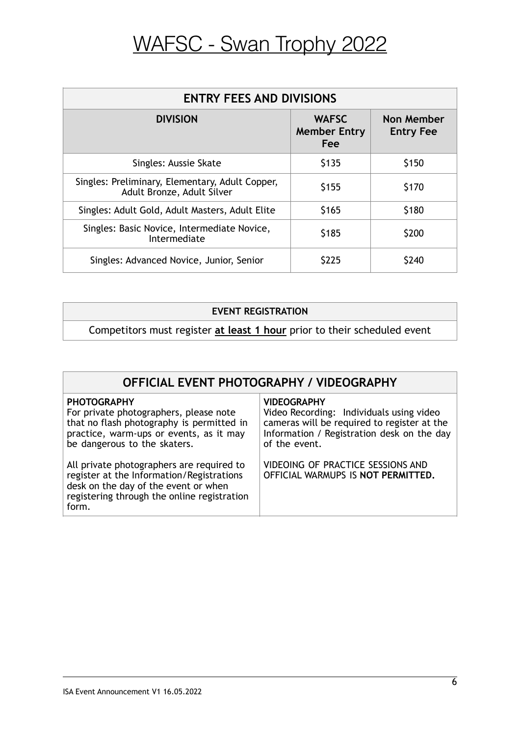| <b>ENTRY FEES AND DIVISIONS</b>                                               |                                            |                                |  |  |  |
|-------------------------------------------------------------------------------|--------------------------------------------|--------------------------------|--|--|--|
| <b>DIVISION</b>                                                               | <b>WAFSC</b><br><b>Member Entry</b><br>Fee | Non Member<br><b>Entry Fee</b> |  |  |  |
| Singles: Aussie Skate                                                         | \$135                                      | \$150                          |  |  |  |
| Singles: Preliminary, Elementary, Adult Copper,<br>Adult Bronze, Adult Silver | \$155                                      | \$170                          |  |  |  |
| Singles: Adult Gold, Adult Masters, Adult Elite                               | \$165                                      | \$180                          |  |  |  |
| Singles: Basic Novice, Intermediate Novice,<br>Intermediate                   | \$185                                      | \$200                          |  |  |  |
| Singles: Advanced Novice, Junior, Senior                                      | \$225                                      | \$240                          |  |  |  |

### **EVENT REGISTRATION**

Competitors must register **at least 1 hour** prior to their scheduled event

#### **PHOTOGRAPHY**

For private photographers, please note that no flash photography is permitted in practice, warm-ups or events, as it may be dangerous to the skaters.

All private photographers are required to register at the Information/Registrations desk on the day of the event or when registering through the online registration form.

#### **VIDEOGRAPHY**

Video Recording: Individuals using video cameras will be required to register at the Information / Registration desk on the day of the event.

VIDEOING OF PRACTICE SESSIONS AND OFFICIAL WARMUPS IS **NOT PERMITTED.**